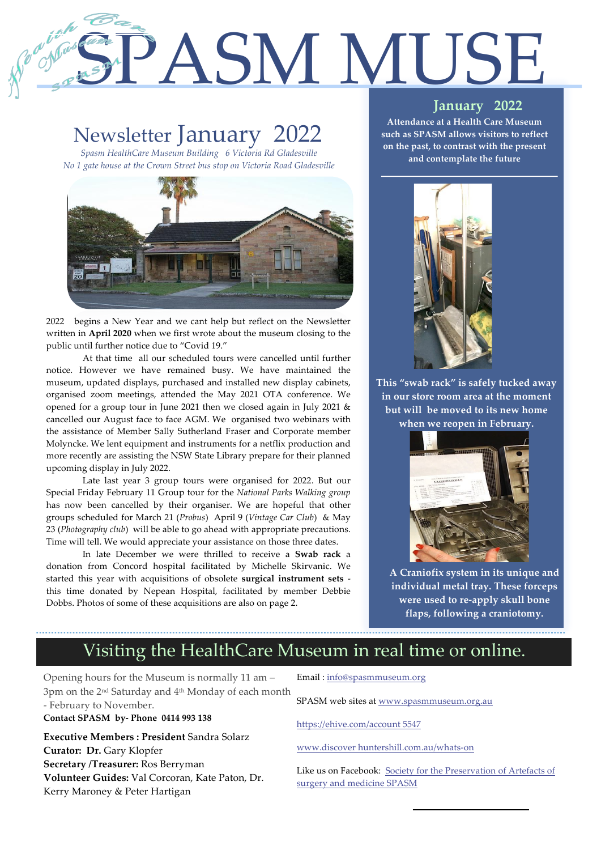# SPASM MUSE

## Newsletter January 2022

1

2

*Spasm HealthCare Museum Building 6 Victoria Rd Gladesville No 1 gate house at the Crown Street bus stop on Victoria Road Gladesville*



2022 begins a New Year and we cant help but reflect on the Newsletter written in **April 2020** when we first wrote about the museum closing to the public until further notice due to "Covid 19."

At that time all our scheduled tours were cancelled until further notice. However we have remained busy. We have maintained the museum, updated displays, purchased and installed new display cabinets, organised zoom meetings, attended the May 2021 OTA conference. We opened for a group tour in June 2021 then we closed again in July 2021 & cancelled our August face to face AGM. We organised two webinars with the assistance of Member Sally Sutherland Fraser and Corporate member Molyncke. We lent equipment and instruments for a netflix production and more recently are assisting the NSW State Library prepare for their planned upcoming display in July 2022.

Late last year 3 group tours were organised for 2022. But our Special Friday February 11 Group tour for the *National Parks Walking group* has now been cancelled by their organiser. We are hopeful that other groups scheduled for March 21 (*Probus*) April 9 (*Vintage Car Club*) & May 23 (*Photography club*) will be able to go ahead with appropriate precautions. Time will tell. We would appreciate your assistance on those three dates.

In late December we were thrilled to receive a **Swab rack** a donation from Concord hospital facilitated by Michelle Skirvanic. We started this year with acquisitions of obsolete **surgical instrument sets** this time donated by Nepean Hospital, facilitated by member Debbie Dobbs. Photos of some of these acquisitions are also on page 2.

#### **January 2022**

**Attendance at a Health Care Museum such as SPASM allows visitors to reflect on the past, to contrast with the present and contemplate the future**



**This "swab rack" is safely tucked away in our store room area at the moment but will be moved to its new home when we reopen in February.**



**A Craniofix system in its unique and individual metal tray. These forceps were used to re-apply skull bone flaps, following a craniotomy.** 

## Visiting the HealthCare Museum in real time or online.

Opening hours for the Museum is normally 11 am – 3pm on the 2nd Saturday and 4th Monday of each month - February to November.

#### **Contact SPASM by- Phone 0414 993 138**

**Executive Members : President** Sandra Solarz **Curator: Dr.** Gary Klopfer **Secretary /Treasurer:** Ros Berryman **Volunteer Guides:** Val Corcoran, Kate Paton, Dr. Kerry Maroney & Peter Hartigan

Email : info@spasmmuseum.org

SPASM web sites at www.spasmmuseum.org.au

https://ehive.com/account 5547

www.discover huntershill.com.au/whats-on

Like us on Facebook: Society for the Preservation of Artefacts of surgery and medicine SPASM